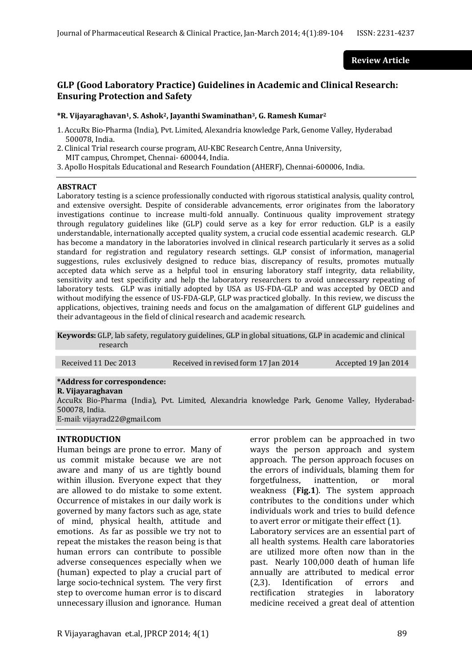### **Review Article**

## **GLP (Good Laboratory Practice) Guidelines in Academic and Clinical Research: Ensuring Protection and Safety**

#### **\*R. Vijayaraghavan1, S. Ashok2, Jayanthi Swaminathan3, G. Ramesh Kumar<sup>2</sup>**

- 1. AccuRx Bio-Pharma (India), Pvt. Limited, Alexandria knowledge Park, Genome Valley, Hyderabad 500078, India.
- 2. Clinical Trial research course program, AU-KBC Research Centre, Anna University, MIT campus, Chrompet, Chennai- 600044, India.
- 3. Apollo Hospitals Educational and Research Foundation (AHERF), Chennai-600006, India.

#### **ABSTRACT**

Laboratory testing is a science professionally conducted with rigorous statistical analysis, quality control, and extensive oversight. Despite of considerable advancements, error originates from the laboratory investigations continue to increase multi-fold annually. Continuous quality improvement strategy through regulatory guidelines like (GLP) could serve as a key for error reduction. GLP is a easily understandable, internationally accepted quality system, a crucial code essential academic research. GLP has become a mandatory in the laboratories involved in clinical research particularly it serves as a solid standard for registration and regulatory research settings. GLP consist of information, managerial suggestions, rules exclusively designed to reduce bias, discrepancy of results, promotes mutually accepted data which serve as a helpful tool in ensuring laboratory staff integrity, data reliability, sensitivity and test specificity and help the laboratory researchers to avoid unnecessary repeating of laboratory tests. GLP was initially adopted by USA as US-FDA-GLP and was accepted by OECD and without modifying the essence of US-FDA-GLP, GLP was practiced globally. In this review, we discuss the applications, objectives, training needs and focus on the amalgamation of different GLP guidelines and their advantageous in the field of clinical research and academic research.

**Keywords:** GLP, lab safety, regulatory guidelines, GLP in global situations, GLP in academic and clinical research

|  | Received 11 Dec 2013 | Received in revised form 17 Jan 2014 | Accepted 19 Jan 2014 |
|--|----------------------|--------------------------------------|----------------------|
|--|----------------------|--------------------------------------|----------------------|

#### **\*Address for correspondence:**

#### **R. Vijayaraghavan**

AccuRx Bio-Pharma (India), Pvt. Limited, Alexandria knowledge Park, Genome Valley, Hyderabad-500078, India.

E-mail: vijayrad22@gmail.com

### **INTRODUCTION**

Human beings are prone to error. Many of us commit mistake because we are not aware and many of us are tightly bound within illusion. Everyone expect that they are allowed to do mistake to some extent. Occurrence of mistakes in our daily work is governed by many factors such as age, state of mind, physical health, attitude and emotions. As far as possible we try not to repeat the mistakes the reason being is that human errors can contribute to possible adverse consequences especially when we (human) expected to play a crucial part of large socio-technical system. The very first step to overcome human error is to discard unnecessary illusion and ignorance. Human error problem can be approached in two ways the person approach and system approach. The person approach focuses on the errors of individuals, blaming them for forgetfulness, inattention, or moral weakness (**Fig.1**). The system approach contributes to the conditions under which individuals work and tries to build defence to avert error or mitigate their effect (1). Laboratory services are an essential part of all health systems. Health care laboratories are utilized more often now than in the past. Nearly 100,000 death of human life annually are attributed to medical error (2,3). Identification of errors and rectification strategies in laboratory medicine received a great deal of attention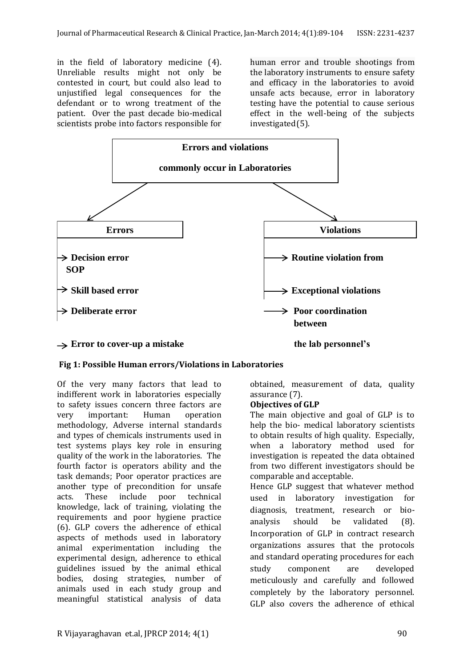in the field of laboratory medicine (4). Unreliable results might not only be contested in court, but could also lead to unjustified legal consequences for the defendant or to wrong treatment of the patient. Over the past decade bio-medical scientists probe into factors responsible for

human error and trouble shootings from the laboratory instruments to ensure safety and efficacy in the laboratories to avoid unsafe acts because, error in laboratory testing have the potential to cause serious effect in the well-being of the subjects investigated(5).



### **Fig 1: Possible Human errors/Violations in Laboratories**

Of the very many factors that lead to indifferent work in laboratories especially to safety issues concern three factors are very important: Human operation methodology, Adverse internal standards and types of chemicals instruments used in test systems plays key role in ensuring quality of the work in the laboratories. The fourth factor is operators ability and the task demands; Poor operator practices are another type of precondition for unsafe acts. These include poor technical knowledge, lack of training, violating the requirements and poor hygiene practice (6). GLP covers the adherence of ethical aspects of methods used in laboratory animal experimentation including the experimental design, adherence to ethical guidelines issued by the animal ethical bodies, dosing strategies, number of animals used in each study group and meaningful statistical analysis of data

obtained, measurement of data, quality assurance (7).

### **Objectives of GLP**

The main objective and goal of GLP is to help the bio- medical laboratory scientists to obtain results of high quality. Especially, when a laboratory method used for investigation is repeated the data obtained from two different investigators should be comparable and acceptable.

Hence GLP suggest that whatever method used in laboratory investigation for diagnosis, treatment, research or bioanalysis should be validated (8). Incorporation of GLP in contract research organizations assures that the protocols and standard operating procedures for each study component are developed meticulously and carefully and followed completely by the laboratory personnel. GLP also covers the adherence of ethical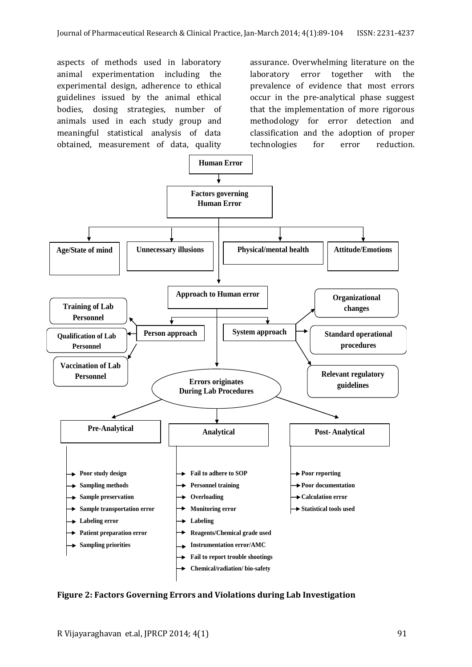aspects of methods used in laboratory animal experimentation including the experimental design, adherence to ethical guidelines issued by the animal ethical bodies, dosing strategies, number of animals used in each study group and meaningful statistical analysis of data obtained, measurement of data, quality

assurance. Overwhelming literature on the laboratory error together with the prevalence of evidence that most errors occur in the pre-analytical phase suggest that the implementation of more rigorous methodology for error detection and classification and the adoption of proper technologies for error reduction.



**Figure 2: Factors Governing Errors and Violations during Lab Investigation**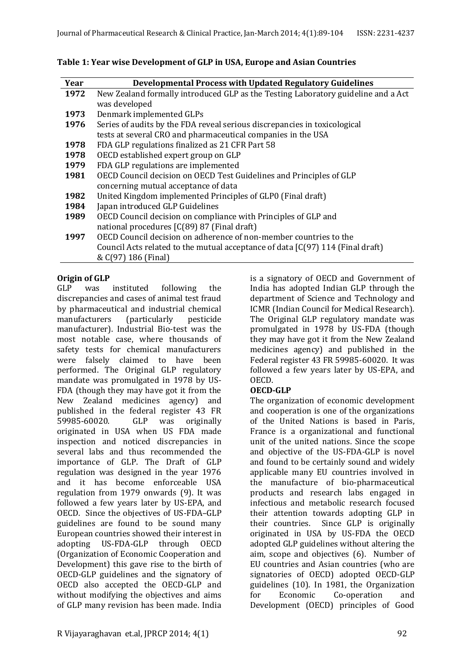| Year | Developmental Process with Updated Regulatory Guidelines                          |
|------|-----------------------------------------------------------------------------------|
| 1972 | New Zealand formally introduced GLP as the Testing Laboratory guideline and a Act |
|      | was developed                                                                     |
| 1973 | Denmark implemented GLPs                                                          |
| 1976 | Series of audits by the FDA reveal serious discrepancies in toxicological         |
|      | tests at several CRO and pharmaceutical companies in the USA                      |
| 1978 | FDA GLP regulations finalized as 21 CFR Part 58                                   |
| 1978 | OECD established expert group on GLP                                              |
| 1979 | FDA GLP regulations are implemented                                               |
| 1981 | OECD Council decision on OECD Test Guidelines and Principles of GLP               |
|      | concerning mutual acceptance of data                                              |
| 1982 | United Kingdom implemented Principles of GLP0 (Final draft)                       |
| 1984 | Japan introduced GLP Guidelines                                                   |
| 1989 | OECD Council decision on compliance with Principles of GLP and                    |
|      | national procedures [C(89) 87 (Final draft)                                       |
| 1997 | OECD Council decision on adherence of non-member countries to the                 |
|      | Council Acts related to the mutual acceptance of data $[C(97) 114$ (Final draft)  |
|      | & C(97) 186 (Final)                                                               |

**Table 1: Year wise Development of GLP in USA, Europe and Asian Countries**

## **Origin of GLP**

GLP was instituted following the discrepancies and cases of animal test fraud by pharmaceutical and industrial chemical manufacturers (particularly pesticide manufacturer). Industrial Bio-test was the most notable case, where thousands of safety tests for chemical manufacturers were falsely claimed to have been performed. The Original GLP regulatory mandate was promulgated in 1978 by US-FDA (though they may have got it from the New Zealand medicines agency) and published in the federal register 43 FR 59985-60020. GLP was originally originated in USA when US FDA made inspection and noticed discrepancies in several labs and thus recommended the importance of GLP. The Draft of GLP regulation was designed in the year 1976 and it has become enforceable USA regulation from 1979 onwards (9). It was followed a few years later by US-EPA, and OECD. Since the objectives of US-FDA–GLP guidelines are found to be sound many European countries showed their interest in adopting US-FDA-GLP through OECD (Organization of Economic Cooperation and Development) this gave rise to the birth of OECD-GLP guidelines and the signatory of OECD also accepted the OECD-GLP and without modifying the objectives and aims of GLP many revision has been made. India

is a signatory of OECD and Government of India has adopted Indian GLP through the department of Science and Technology and ICMR (Indian Council for Medical Research). The Original GLP regulatory mandate was promulgated in 1978 by US-FDA (though they may have got it from the New Zealand medicines agency) and published in the Federal register 43 FR 59985-60020. It was followed a few years later by US-EPA, and OECD.

## **OECD-GLP**

The organization of economic development and cooperation is one of the organizations of the United Nations is based in Paris, France is a organizational and functional unit of the united nations. Since the scope and objective of the US-FDA-GLP is novel and found to be certainly sound and widely applicable many EU countries involved in the manufacture of bio-pharmaceutical products and research labs engaged in infectious and metabolic research focused their attention towards adopting GLP in their countries. Since GLP is originally originated in USA by US-FDA the OECD adopted GLP guidelines without altering the aim, scope and objectives (6). Number of EU countries and Asian countries (who are signatories of OECD) adopted OECD-GLP guidelines (10). In 1981, the Organization for Economic Co-operation and Development (OECD) principles of Good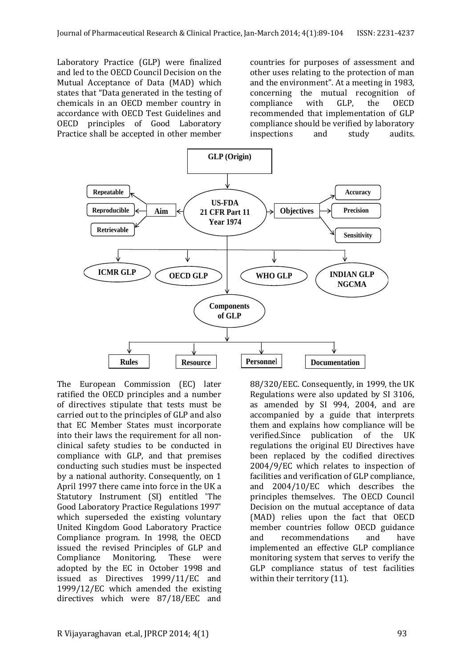Laboratory Practice (GLP) were finalized and led to the OECD Council Decision on the Mutual Acceptance of Data (MAD) which states that "Data generated in the testing of chemicals in an OECD member country in accordance with OECD Test Guidelines and OECD principles of Good Laboratory Practice shall be accepted in other member countries for purposes of assessment and other uses relating to the protection of man and the environment". At a meeting in 1983, concerning the mutual recognition of compliance with GLP, the OECD recommended that implementation of GLP compliance should be verified by laboratory inspections and study audits.



The European Commission (EC) later ratified the OECD principles and a number of directives stipulate that tests must be carried out to the principles of GLP and also that EC Member States must incorporate into their laws the requirement for all nonclinical safety studies to be conducted in compliance with GLP, and that premises conducting such studies must be inspected by a national authority. Consequently, on 1 April 1997 there came into force in the UK a Statutory Instrument (SI) entitled 'The Good Laboratory Practice Regulations 1997' which superseded the existing voluntary United Kingdom Good Laboratory Practice Compliance program. In 1998, the OECD issued the revised Principles of GLP and Compliance Monitoring. These were adopted by the EC in October 1998 and issued as Directives 1999/11/EC and 1999/12/EC which amended the existing directives which were 87/18/EEC and

88/320/EEC. Consequently, in 1999, the UK Regulations were also updated by SI 3106, as amended by SI 994, 2004, and are accompanied by a guide that interprets them and explains how compliance will be verified.Since publication of the UK regulations the original EU Directives have been replaced by the codified directives 2004/9/EC which relates to inspection of facilities and verification of GLP compliance, and 2004/10/EC which describes the principles themselves. The OECD Council Decision on the mutual acceptance of data (MAD) relies upon the fact that OECD member countries follow OECD guidance and recommendations and have implemented an effective GLP compliance monitoring system that serves to verify the GLP compliance status of test facilities within their territory (11).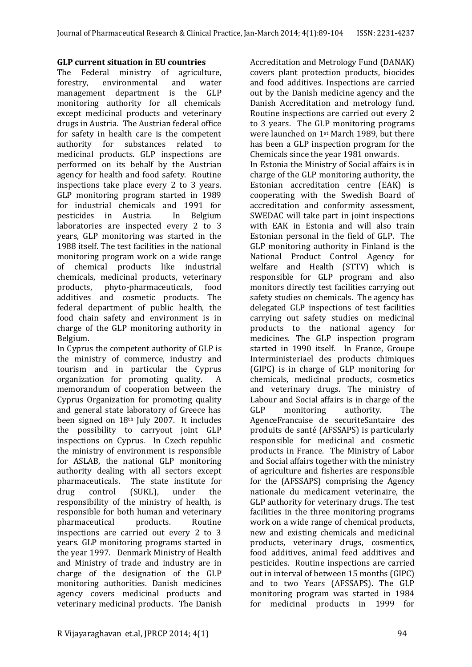### **GLP current situation in EU countries**

The Federal ministry of agriculture, forestry, environmental and water management department is the GLP monitoring authority for all chemicals except medicinal products and veterinary drugs in Austria. The Austrian federal office for safety in health care is the competent authority for substances related to medicinal products. GLP inspections are performed on its behalf by the Austrian agency for health and food safety. Routine inspections take place every 2 to 3 years. GLP monitoring program started in 1989 for industrial chemicals and 1991 for pesticides in Austria. In Belgium laboratories are inspected every 2 to 3 years, GLP monitoring was started in the 1988 itself. The test facilities in the national monitoring program work on a wide range of chemical products like industrial chemicals, medicinal products, veterinary products, phyto-pharmaceuticals, food additives and cosmetic products. The federal department of public health, the food chain safety and environment is in charge of the GLP monitoring authority in Belgium.

In Cyprus the competent authority of GLP is the ministry of commerce, industry and tourism and in particular the Cyprus organization for promoting quality. A memorandum of cooperation between the Cyprus Organization for promoting quality and general state laboratory of Greece has been signed on 18th July 2007. It includes the possibility to carryout joint GLP inspections on Cyprus. In Czech republic the ministry of environment is responsible for ASLAB, the national GLP monitoring authority dealing with all sectors except pharmaceuticals. The state institute for drug control (SUKL), under the responsibility of the ministry of health, is responsible for both human and veterinary pharmaceutical products. Routine inspections are carried out every 2 to 3 years. GLP monitoring programs started in the year 1997. Denmark Ministry of Health and Ministry of trade and industry are in charge of the designation of the GLP monitoring authorities. Danish medicines agency covers medicinal products and veterinary medicinal products. The Danish Accreditation and Metrology Fund (DANAK) covers plant protection products, biocides and food additives. Inspections are carried out by the Danish medicine agency and the Danish Accreditation and metrology fund. Routine inspections are carried out every 2 to 3 years. The GLP monitoring programs were launched on 1st March 1989, but there has been a GLP inspection program for the Chemicals since the year 1981 onwards. In Estonia the Ministry of Social affairs is in charge of the GLP monitoring authority, the Estonian accreditation centre (EAK) is cooperating with the Swedish Board of accreditation and conformity assessment, SWEDAC will take part in joint inspections with EAK in Estonia and will also train Estonian personal in the field of GLP. The GLP monitoring authority in Finland is the National Product Control Agency for welfare and Health (STTV) which is responsible for GLP program and also monitors directly test facilities carrying out safety studies on chemicals. The agency has delegated GLP inspections of test facilities carrying out safety studies on medicinal products to the national agency for medicines. The GLP inspection program started in 1990 itself. In France, Groupe Interministeriael des products chimiques (GIPC) is in charge of GLP monitoring for chemicals, medicinal products, cosmetics and veterinary drugs. The ministry of Labour and Social affairs is in charge of the GLP monitoring authority. The AgenceFrancaise de securiteSantaire des produits de santé (AFSSAPS) is particularly responsible for medicinal and cosmetic products in France. The Ministry of Labor and Social affairs together with the ministry of agriculture and fisheries are responsible for the (AFSSAPS) comprising the Agency nationale du medicament veterinaire, the GLP authority for veterinary drugs. The test facilities in the three monitoring programs work on a wide range of chemical products, new and existing chemicals and medicinal products, veterinary drugs, cosmentics, food additives, animal feed additives and pesticides. Routine inspections are carried out in interval of between 15 months (GIPC) and to two Years (AFSSAPS). The GLP monitoring program was started in 1984 for medicinal products in 1999 for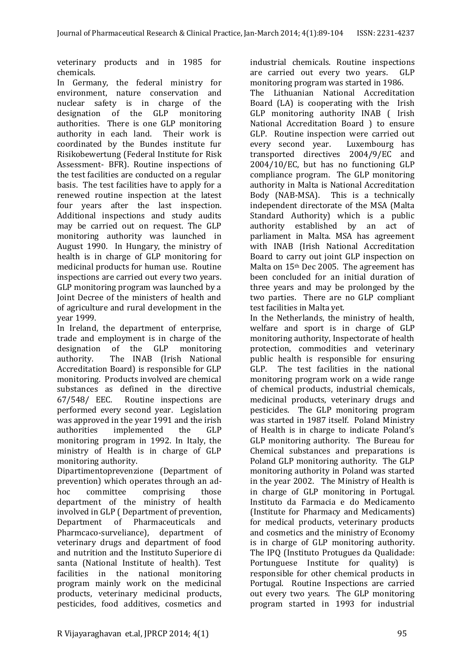veterinary products and in 1985 for chemicals.

In Germany, the federal ministry for environment, nature conservation and nuclear safety is in charge of the designation of the GLP monitoring authorities. There is one GLP monitoring authority in each land. Their work is coordinated by the Bundes institute fur Risikobewertung (Federal Institute for Risk Assessment- BFR). Routine inspections of the test facilities are conducted on a regular basis. The test facilities have to apply for a renewed routine inspection at the latest four years after the last inspection. Additional inspections and study audits may be carried out on request. The GLP monitoring authority was launched in August 1990. In Hungary, the ministry of health is in charge of GLP monitoring for medicinal products for human use. Routine inspections are carried out every two years. GLP monitoring program was launched by a Joint Decree of the ministers of health and of agriculture and rural development in the year 1999.

In Ireland, the department of enterprise, trade and employment is in charge of the designation of the GLP monitoring authority. The INAB (Irish National Accreditation Board) is responsible for GLP monitoring. Products involved are chemical substances as defined in the directive 67/548/ EEC. Routine inspections are performed every second year. Legislation was approved in the year 1991 and the irish authorities implemented the GLP monitoring program in 1992. In Italy, the ministry of Health is in charge of GLP monitoring authority.

Dipartimentoprevenzione (Department of prevention) which operates through an adhoc committee comprising those department of the ministry of health involved in GLP ( Department of prevention, Department of Pharmaceuticals and Pharmcaco-surveliance), department of veterinary drugs and department of food and nutrition and the Instituto Superiore di santa (National Institute of health). Test facilities in the national monitoring program mainly work on the medicinal products, veterinary medicinal products, pesticides, food additives, cosmetics and

industrial chemicals. Routine inspections are carried out every two years. GLP monitoring program was started in 1986. The Lithuanian National Accreditation Board (LA) is cooperating with the Irish GLP monitoring authority INAB ( Irish National Accreditation Board ) to ensure GLP. Routine inspection were carried out every second year. Luxembourg has transported directives 2004/9/EC and 2004/10/EC, but has no functioning GLP compliance program. The GLP monitoring authority in Malta is National Accreditation Body (NAB-MSA). This is a technically independent directorate of the MSA (Malta Standard Authority) which is a public authority established by an act of parliament in Malta. MSA has agreement with INAB (Irish National Accreditation Board to carry out joint GLP inspection on Malta on 15th Dec 2005. The agreement has been concluded for an initial duration of three years and may be prolonged by the two parties. There are no GLP compliant test facilities in Malta yet.

In the Netherlands, the ministry of health, welfare and sport is in charge of GLP monitoring authority, Inspectorate of health protection, commodities and veterinary public health is responsible for ensuring GLP. The test facilities in the national monitoring program work on a wide range of chemical products, industrial chemicals, medicinal products, veterinary drugs and pesticides. The GLP monitoring program was started in 1987 itself. Poland Ministry of Health is in charge to indicate Poland's GLP monitoring authority. The Bureau for Chemical substances and preparations is Poland GLP monitoring authority. The GLP monitoring authority in Poland was started in the year 2002. The Ministry of Health is in charge of GLP monitoring in Portugal. Instituto da Farmacia e do Medicamento (Institute for Pharmacy and Medicaments) for medical products, veterinary products and cosmetics and the ministry of Economy is in charge of GLP monitoring authority. The IPQ (Instituto Protugues da Qualidade: Portunguese Institute for quality) is responsible for other chemical products in Portugal. Routine Inspections are carried out every two years. The GLP monitoring program started in 1993 for industrial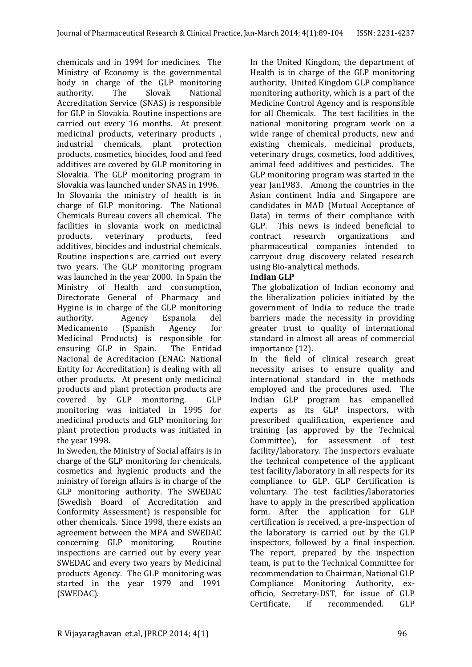chemicals and in 1994 for medicines. The Ministry of Economy is the governmental body in charge of the GLP monitoring authority. The Slovak National Accreditation Service (SNAS) is responsible for GLP in Slovakia. Routine inspections are carried out every 16 months. At present medicinal products, veterinary products , industrial chemicals, plant protection products, cosmetics, biocides, food and feed additives are covered by GLP monitoring in Slovakia. The GLP monitoring program in Slovakia was launched under SNAS in 1996. In Slovania the ministry of health is in charge of GLP monitoring. The National Chemicals Bureau covers all chemical. The facilities in slovania work on medicinal products, veterinary products, feed additives, biocides and industrial chemicals. Routine inspections are carried out every two years. The GLP monitoring program was launched in the year 2000. In Spain the Ministry of Health and consumption, Directorate General of Pharmacy and Hygine is in charge of the GLP monitoring authority. Agency Espanola del Medicamento (Spanish Agency for Medicinal Products) is responsible for ensuring GLP in Spain. The Entidad Nacional de Acreditacion (ENAC: National Entity for Accreditation) is dealing with all other products. At present only medicinal products and plant protection products are covered by GLP monitoring. GLP monitoring was initiated in 1995 for medicinal products and GLP monitoring for plant protection products was initiated in the year 1998.

In Sweden, the Ministry of Social affairs is in charge of the GLP monitoring for chemicals, cosmetics and hygienic products and the ministry of foreign affairs is in charge of the GLP monitoring authority. The SWEDAC (Swedish Board of Accreditation and Conformity Assessment) is responsible for other chemicals. Since 1998, there exists an agreement between the MPA and SWEDAC concerning GLP monitoring. Routine inspections are carried out by every year SWEDAC and every two years by Medicinal products Agency. The GLP monitoring was started in the year 1979 and 1991 (SWEDAC).

In the United Kingdom, the department of Health is in charge of the GLP monitoring authority. United Kingdom GLP compliance monitoring authority, which is a part of the Medicine Control Agency and is responsible for all Chemicals. The test facilities in the national monitoring program work on a wide range of chemical products, new and existing chemicals, medicinal products, veterinary drugs, cosmetics, food additives, animal feed additives and pesticides. The GLP monitoring program was started in the year Jan1983. Among the countries in the Asian continent India and Singapore are candidates in MAD (Mutual Acceptance of Data) in terms of their compliance with GLP. This news is indeed beneficial to contract research organizations and pharmaceutical companies intended to carryout drug discovery related research using Bio-analytical methods.

# **Indian GLP**

The globalization of Indian economy and the liberalization policies initiated by the government of India to reduce the trade barriers made the necessity in providing greater trust to quality of international standard in almost all areas of commercial importance (12).

In the field of clinical research great necessity arises to ensure quality and international standard in the methods employed and the procedures used. The Indian GLP program has empanelled experts as its GLP inspectors, with prescribed qualification, experience and training (as approved by the Technical Committee), for assessment of test facility/laboratory. The inspectors evaluate the technical competence of the applicant test facility/laboratory in all respects for its compliance to GLP. GLP Certification is voluntary. The test facilities/laboratories have to apply in the prescribed application form. After the application for GLP certification is received, a pre-inspection of the laboratory is carried out by the GLP inspectors, followed by a final inspection. The report, prepared by the inspection team, is put to the Technical Committee for recommendation to Chairman, National GLP Compliance Monitoring Authority, exofficio, Secretary-DST, for issue of GLP Certificate, if recommended. GLP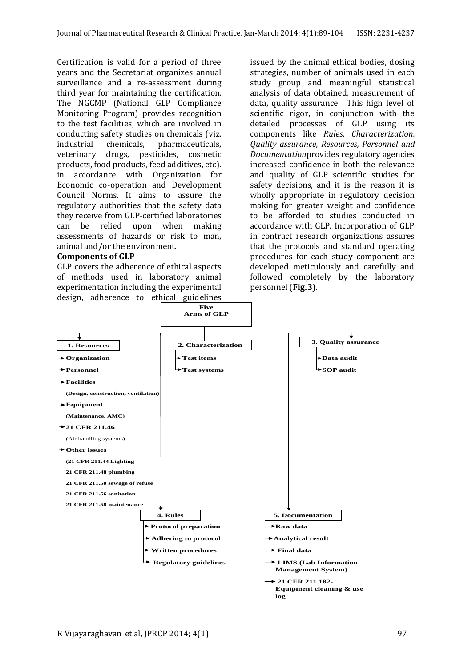Certification is valid for a period of three years and the Secretariat organizes annual surveillance and a re-assessment during third year for maintaining the certification. The NGCMP (National GLP Compliance Monitoring Program) provides recognition to the test facilities, which are involved in conducting safety studies on chemicals (viz. industrial chemicals, pharmaceuticals, veterinary drugs, pesticides, cosmetic products, food products, feed additives, etc). in accordance with Organization for Economic co-operation and Development Council Norms. It aims to assure the regulatory authorities that the safety data they receive from GLP-certified laboratories can be relied upon when making assessments of hazards or risk to man, animal and/or the environment.

### **Components of GLP**

GLP covers the adherence of ethical aspects of methods used in laboratory animal experimentation including the experimental design, adherence to ethical guidelines issued by the animal ethical bodies, dosing strategies, number of animals used in each study group and meaningful statistical analysis of data obtained, measurement of data, quality assurance. This high level of scientific rigor, in conjunction with the detailed processes of GLP using its components like *Rules, Characterization, Quality assurance, Resources, Personnel and Documentation*provides regulatory agencies increased confidence in both the relevance and quality of GLP scientific studies for safety decisions, and it is the reason it is wholly appropriate in regulatory decision making for greater weight and confidence to be afforded to studies conducted in accordance with GLP. Incorporation of GLP in contract research organizations assures that the protocols and standard operating procedures for each study component are developed meticulously and carefully and followed completely by the laboratory personnel (**Fig.3**).

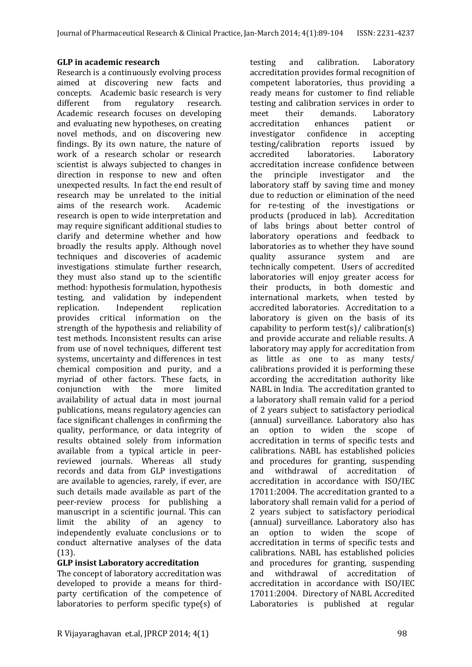### **GLP in academic research**

Research is a continuously evolving process aimed at discovering new facts and concepts. Academic basic research is very different from regulatory research. Academic research focuses on developing and evaluating new hypotheses, on creating novel methods, and on discovering new findings. By its own nature, the nature of work of a research scholar or research scientist is always subjected to changes in direction in response to new and often unexpected results. In fact the end result of research may be unrelated to the initial aims of the research work. Academic research is open to wide interpretation and may require significant additional studies to clarify and determine whether and how broadly the results apply. Although novel techniques and discoveries of academic investigations stimulate further research, they must also stand up to the scientific method: hypothesis formulation, hypothesis testing, and validation by independent replication. Independent replication provides critical information on the strength of the hypothesis and reliability of test methods. Inconsistent results can arise from use of novel techniques, different test systems, uncertainty and differences in test chemical composition and purity, and a myriad of other factors. These facts, in conjunction with the more limited availability of actual data in most journal publications, means regulatory agencies can face significant challenges in confirming the quality, performance, or data integrity of results obtained solely from information available from a typical article in peerreviewed journals. Whereas all study records and data from GLP investigations are available to agencies, rarely, if ever, are such details made available as part of the peer-review process for publishing a manuscript in a scientific journal. This can limit the ability of an agency to independently evaluate conclusions or to conduct alternative analyses of the data (13).

## **GLP insist Laboratory accreditation**

The concept of laboratory accreditation was developed to provide a means for thirdparty certification of the competence of laboratories to perform specific type(s) of testing and calibration. Laboratory accreditation provides formal recognition of competent laboratories, thus providing a ready means for customer to find reliable testing and calibration services in order to meet their demands. Laboratory accreditation enhances patient or investigator confidence in accepting testing/calibration reports issued by accredited laboratories. Laboratory accreditation increase confidence between the principle investigator and the laboratory staff by saving time and money due to reduction or elimination of the need for re-testing of the investigations or products (produced in lab). Accreditation of labs brings about better control of laboratory operations and feedback to laboratories as to whether they have sound quality assurance system and are technically competent. Users of accredited laboratories will enjoy greater access for their products, in both domestic and international markets, when tested by accredited laboratories. Accreditation to a laboratory is given on the basis of its capability to perform test(s)/ calibration(s) and provide accurate and reliable results. A laboratory may apply for accreditation from as little as one to as many tests/ calibrations provided it is performing these according the accreditation authority like NABL in India. The accreditation granted to a laboratory shall remain valid for a period of 2 years subject to satisfactory periodical (annual) surveillance. Laboratory also has an option to widen the scope of accreditation in terms of specific tests and calibrations. NABL has established policies and procedures for granting, suspending and withdrawal of accreditation of accreditation in accordance with ISO/IEC 17011:2004. The accreditation granted to a laboratory shall remain valid for a period of 2 years subject to satisfactory periodical (annual) surveillance. Laboratory also has an option to widen the scope of accreditation in terms of specific tests and calibrations. NABL has established policies and procedures for granting, suspending and withdrawal of accreditation of accreditation in accordance with ISO/IEC 17011:2004. Directory of NABL Accredited Laboratories is published at regular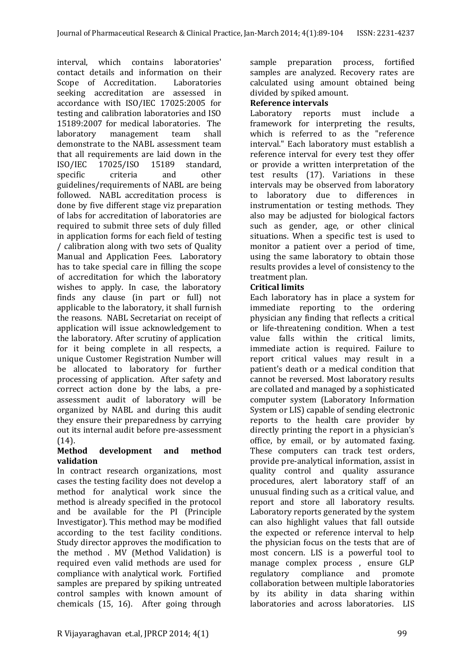interval, which contains laboratories' contact details and information on their Scope of Accreditation. Laboratories seeking accreditation are assessed in accordance with ISO/IEC 17025:2005 for testing and calibration laboratories and ISO 15189:2007 for medical laboratories. The laboratory management team shall demonstrate to the NABL assessment team that all requirements are laid down in the ISO/IEC 17025/ISO 15189 standard, specific criteria and other guidelines/requirements of NABL are being followed. NABL accreditation process is done by five different stage viz preparation of labs for accreditation of laboratories are required to submit three sets of duly filled in application forms for each field of testing / calibration along with two sets of Quality Manual and Application Fees. Laboratory has to take special care in filling the scope of accreditation for which the laboratory wishes to apply. In case, the laboratory finds any clause (in part or full) not applicable to the laboratory, it shall furnish the reasons. NABL Secretariat on receipt of application will issue acknowledgement to the laboratory. After scrutiny of application for it being complete in all respects, a unique Customer Registration Number will be allocated to laboratory for further processing of application. After safety and correct action done by the labs, a preassessment audit of laboratory will be organized by NABL and during this audit they ensure their preparedness by carrying out its internal audit before pre-assessment  $(14)$ .

## **Method development and method validation**

In contract research organizations, most cases the testing facility does not develop a method for analytical work since the method is already specified in the protocol and be available for the PI (Principle Investigator). This method may be modified according to the test facility conditions. Study director approves the modification to the method . MV (Method Validation) is required even valid methods are used for compliance with analytical work. Fortified samples are prepared by spiking untreated control samples with known amount of chemicals (15, 16). After going through

sample preparation process, fortified samples are analyzed. Recovery rates are calculated using amount obtained being divided by spiked amount.

## **Reference intervals**

Laboratory reports must include a framework for interpreting the results, which is referred to as the "reference interval." Each laboratory must establish a reference interval for every test they offer or provide a written interpretation of the test results (17). Variations in these intervals may be observed from laboratory to laboratory due to differences in instrumentation or testing methods. They also may be adjusted for biological factors such as gender, age, or other clinical situations. When a specific test is used to monitor a patient over a period of time, using the same laboratory to obtain those results provides a level of consistency to the treatment plan.

# **Critical limits**

Each laboratory has in place a system for immediate reporting to the ordering physician any finding that reflects a critical or life-threatening condition. When a test value falls within the critical limits, immediate action is required. Failure to report critical values may result in a patient's death or a medical condition that cannot be reversed. Most laboratory results are collated and managed by a sophisticated computer system (Laboratory Information System or LIS) capable of sending electronic reports to the health care provider by directly printing the report in a physician's office, by email, or by automated faxing. These computers can track test orders, provide pre-analytical information, assist in quality control and quality assurance procedures, alert laboratory staff of an unusual finding such as a critical value, and report and store all laboratory results. Laboratory reports generated by the system can also highlight values that fall outside the expected or reference interval to help the physician focus on the tests that are of most concern. LIS is a powerful tool to manage complex process , ensure GLP regulatory compliance and promote collaboration between multiple laboratories by its ability in data sharing within laboratories and across laboratories. LIS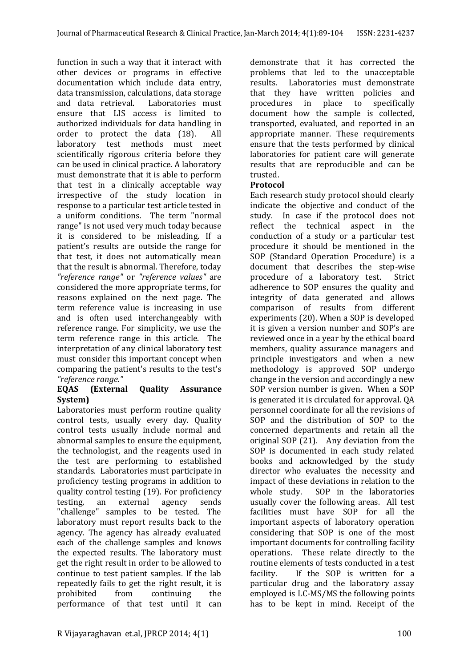function in such a way that it interact with other devices or programs in effective documentation which include data entry, data transmission, calculations, data storage and data retrieval. Laboratories must ensure that LIS access is limited to authorized individuals for data handling in order to protect the data (18). All laboratory test methods must meet scientifically rigorous criteria before they can be used in clinical practice. A laboratory must demonstrate that it is able to perform that test in a clinically acceptable way irrespective of the study location in response to a particular test article tested in a uniform conditions. The term "normal range" is not used very much today because it is considered to be misleading. If a patient's results are outside the range for that test, it does not automatically mean that the result is abnormal. Therefore, today *"reference range"* or *"reference values"* are considered the more appropriate terms, for reasons explained on the next page. The term reference value is increasing in use and is often used interchangeably with reference range. For simplicity, we use the term reference range in this article. The interpretation of any clinical laboratory test must consider this important concept when comparing the patient's results to the test's *"reference range."*

## **EQAS (External Quality Assurance System)**

Laboratories must perform routine quality control tests, usually every day. Quality control tests usually include normal and abnormal samples to ensure the equipment, the technologist, and the reagents used in the test are performing to established standards. Laboratories must participate in proficiency testing programs in addition to quality control testing (19). For proficiency testing, an external agency sends "challenge" samples to be tested. The laboratory must report results back to the agency. The agency has already evaluated each of the challenge samples and knows the expected results. The laboratory must get the right result in order to be allowed to continue to test patient samples. If the lab repeatedly fails to get the right result, it is prohibited from continuing the performance of that test until it can

demonstrate that it has corrected the problems that led to the unacceptable results. Laboratories must demonstrate that they have written policies and procedures in place to specifically document how the sample is collected, transported, evaluated, and reported in an appropriate manner. These requirements ensure that the tests performed by clinical laboratories for patient care will generate results that are reproducible and can be trusted.

## **Protocol**

Each research study protocol should clearly indicate the objective and conduct of the study. In case if the protocol does not reflect the technical aspect in the conduction of a study or a particular test procedure it should be mentioned in the SOP (Standard Operation Procedure) is a document that describes the step-wise procedure of a laboratory test. Strict adherence to SOP ensures the quality and integrity of data generated and allows comparison of results from different experiments (20). When a SOP is developed it is given a version number and SOP's are reviewed once in a year by the ethical board members, quality assurance managers and principle investigators and when a new methodology is approved SOP undergo change in the version and accordingly a new SOP version number is given. When a SOP is generated it is circulated for approval. QA personnel coordinate for all the revisions of SOP and the distribution of SOP to the concerned departments and retain all the original SOP (21). Any deviation from the SOP is documented in each study related books and acknowledged by the study director who evaluates the necessity and impact of these deviations in relation to the whole study. SOP in the laboratories usually cover the following areas. All test facilities must have SOP for all the important aspects of laboratory operation considering that SOP is one of the most important documents for controlling facility operations. These relate directly to the routine elements of tests conducted in a test facility. If the SOP is written for a particular drug and the laboratory assay employed is LC-MS/MS the following points has to be kept in mind. Receipt of the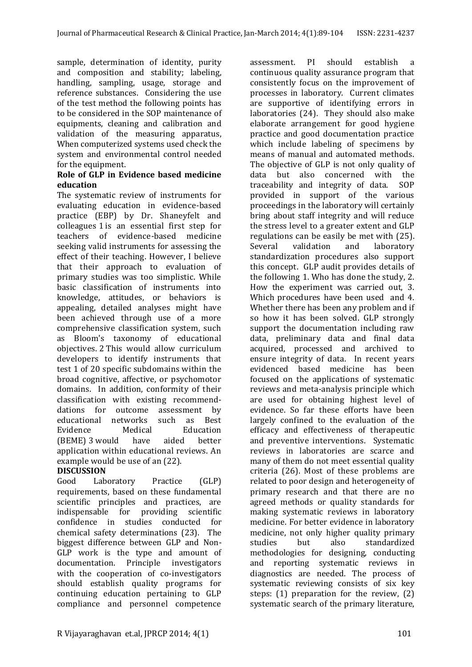sample, determination of identity, purity and composition and stability; labeling, handling, sampling, usage, storage and reference substances. Considering the use of the test method the following points has to be considered in the SOP maintenance of equipments, cleaning and calibration and validation of the measuring apparatus, When computerized systems used check the system and environmental control needed for the equipment.

### **Role of GLP in Evidence based medicine education**

The systematic review of instruments for evaluating education in evidence-based practice (EBP) by Dr. Shaneyfelt and colleagues 1 is an essential first step for teachers of evidence-based medicine seeking valid instruments for assessing the effect of their teaching. However, I believe that their approach to evaluation of primary studies was too simplistic. While basic classification of instruments into knowledge, attitudes, or behaviors is appealing, detailed analyses might have been achieved through use of a more comprehensive classification system, such as Bloom's taxonomy of educational objectives. 2 This would allow curriculum developers to identify instruments that test 1 of 20 specific subdomains within the broad cognitive, affective, or psychomotor domains. In addition, conformity of their classification with existing recommenddations for outcome assessment by educational networks such as Best Evidence Medical Education (BEME) 3 would have aided better application within educational reviews. An example would be use of an (22).

## **DISCUSSION**

Good Laboratory Practice (GLP) requirements, based on these fundamental scientific principles and practices, are indispensable for providing scientific confidence in studies conducted for chemical safety determinations (23). The biggest difference between GLP and Non-GLP work is the type and amount of documentation. Principle investigators with the cooperation of co-investigators should establish quality programs for continuing education pertaining to GLP compliance and personnel competence

assessment. PI should establish a continuous quality assurance program that consistently focus on the improvement of processes in laboratory. Current climates are supportive of identifying errors in laboratories (24). They should also make elaborate arrangement for good hygiene practice and good documentation practice which include labeling of specimens by means of manual and automated methods. The objective of GLP is not only quality of data but also concerned with the traceability and integrity of data. SOP provided in support of the various proceedings in the laboratory will certainly bring about staff integrity and will reduce the stress level to a greater extent and GLP regulations can be easily be met with (25). Several validation and laboratory standardization procedures also support this concept. GLP audit provides details of the following 1. Who has done the study, 2. How the experiment was carried out, 3. Which procedures have been used and 4. Whether there has been any problem and if so how it has been solved. GLP strongly support the documentation including raw data, preliminary data and final data acquired, processed and archived to ensure integrity of data. In recent years evidenced based medicine has been focused on the applications of systematic reviews and meta-analysis principle which are used for obtaining highest level of evidence. So far these efforts have been largely confined to the evaluation of the efficacy and effectiveness of therapeutic and preventive interventions. Systematic reviews in laboratories are scarce and many of them do not meet essential quality criteria (26). Most of these problems are related to poor design and heterogeneity of primary research and that there are no agreed methods or quality standards for making systematic reviews in laboratory medicine. For better evidence in laboratory medicine, not only higher quality primary studies but also standardized methodologies for designing, conducting and reporting systematic reviews in diagnostics are needed. The process of systematic reviewing consists of six key steps: (1) preparation for the review, (2) systematic search of the primary literature,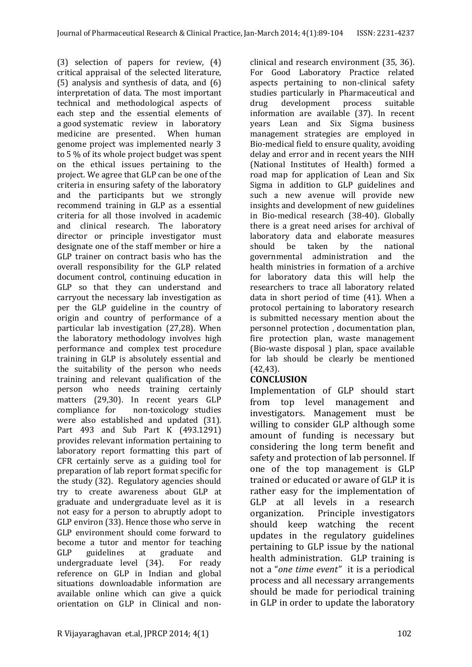(3) selection of papers for review, (4) critical appraisal of the selected literature, (5) analysis and synthesis of data, and (6) interpretation of data. The most important technical and methodological aspects of each step and the essential elements of a good systematic review in laboratory medicine are presented. When human genome project was implemented nearly 3 to 5 % of its whole project budget was spent on the ethical issues pertaining to the project. We agree that GLP can be one of the criteria in ensuring safety of the laboratory and the participants but we strongly recommend training in GLP as a essential criteria for all those involved in academic and clinical research. The laboratory director or principle investigator must designate one of the staff member or hire a GLP trainer on contract basis who has the overall responsibility for the GLP related document control, continuing education in GLP so that they can understand and carryout the necessary lab investigation as per the GLP guideline in the country of origin and country of performance of a particular lab investigation (27,28). When the laboratory methodology involves high performance and complex test procedure training in GLP is absolutely essential and the suitability of the person who needs training and relevant qualification of the person who needs training certainly matters (29,30). In recent years GLP compliance for non-toxicology studies were also established and updated (31). Part 493 and Sub Part K (493.1291) provides relevant information pertaining to laboratory report formatting this part of CFR certainly serve as a guiding tool for preparation of lab report format specific for the study (32). Regulatory agencies should try to create awareness about GLP at graduate and undergraduate level as it is not easy for a person to abruptly adopt to GLP environ (33). Hence those who serve in GLP environment should come forward to become a tutor and mentor for teaching GLP guidelines at graduate and undergraduate level (34). For ready reference on GLP in Indian and global situations downloadable information are available online which can give a quick orientation on GLP in Clinical and nonclinical and research environment (35, 36). For Good Laboratory Practice related aspects pertaining to non-clinical safety studies particularly in Pharmaceutical and drug development process suitable information are available (37). In recent years Lean and Six Sigma business management strategies are employed in Bio-medical field to ensure quality, avoiding delay and error and in recent years the NIH (National Institutes of Health) formed a road map for application of Lean and Six Sigma in addition to GLP guidelines and such a new avenue will provide new insights and development of new guidelines in Bio-medical research (38-40). Globally there is a great need arises for archival of laboratory data and elaborate measures should be taken by the national governmental administration and the health ministries in formation of a archive for laboratory data this will help the researchers to trace all laboratory related data in short period of time (41). When a protocol pertaining to laboratory research is submitted necessary mention about the personnel protection , documentation plan, fire protection plan, waste management (Bio-waste disposal ) plan, space available for lab should be clearly be mentioned (42,43).

# **CONCLUSION**

Implementation of GLP should start from top level management and investigators. Management must be willing to consider GLP although some amount of funding is necessary but considering the long term benefit and safety and protection of lab personnel. If one of the top management is GLP trained or educated or aware of GLP it is rather easy for the implementation of GLP at all levels in a research organization. Principle investigators should keep watching the recent updates in the regulatory guidelines pertaining to GLP issue by the national health administration. GLP training is not a "*one time event"* it is a periodical process and all necessary arrangements should be made for periodical training in GLP in order to update the laboratory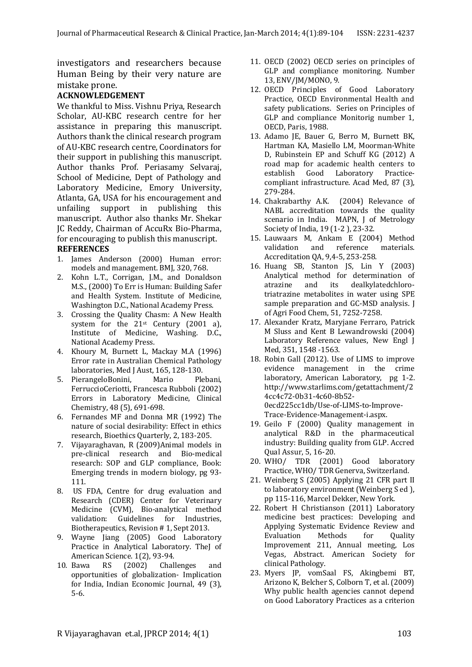investigators and researchers because Human Being by their very nature are mistake prone.

### **ACKNOWLEDGEMENT**

We thankful to Miss. Vishnu Priya, Research Scholar, AU-KBC research centre for her assistance in preparing this manuscript. Authors thank the clinical research program of AU-KBC research centre, Coordinators for their support in publishing this manuscript. Author thanks Prof. Periasamy Selvaraj, School of Medicine, Dept of Pathology and Laboratory Medicine, Emory University, Atlanta, GA, USA for his encouragement and unfailing support in publishing this manuscript. Author also thanks Mr. Shekar JC Reddy, Chairman of AccuRx Bio-Pharma, for encouraging to publish this manuscript. **REFERENCES**

- 1. James Anderson (2000) Human error: models and management. BMJ, 320, 768.
- 2. Kohn L.T., Corrigan, J.M., and Donaldson M.S., (2000) To Err is Human: Building Safer and Health System. Institute of Medicine, Washington D.C., National Academy Press.
- 3. Crossing the Quality Chasm: A New Health system for the  $21^{st}$  Century (2001 a), Institute of Medicine, Washing. D.C., National Academy Press.
- 4. Khoury M, Burnett L, Mackay M.A (1996) Error rate in Australian Chemical Pathology laboratories, Med J Aust, 165, 128-130.
- 5. PierangeloBonini, Mario Plebani, FerruccioCeriotti, Francesca Rubboli (2002) Errors in Laboratory Medicine, Clinical Chemistry, 48 (5), 691-698.
- 6. Fernandes MF and Donna MR (1992) The nature of social desirability: Effect in ethics research, Bioethics Quarterly, 2, 183-205.
- 7. Vijayaraghavan, R (2009)Animal models in pre-clinical research and Bio-medical research: SOP and GLP compliance, Book: Emerging trends in modern biology, pg 93- 111.
- 8. US FDA, Centre for drug evaluation and Research (CDER) Center for Veterinary Medicine (CVM), Bio-analytical method validation: Guidelines for Industries, Biotherapeutics, Revision # 1, Sept 2013.
- 9. Wayne Jiang (2005) Good Laboratory Practice in Analytical Laboratory. TheJ of American Science. 1(2), 93-94.
- 10. Bawa RS (2002) Challenges and opportunities of globalization- Implication for India, Indian Economic Journal, 49 (3), 5-6.
- 11. OECD (2002) OECD series on principles of GLP and compliance monitoring. Number 13, ENV/JM/MONO, 9.
- 12. OECD Principles of Good Laboratory Practice, OECD Environmental Health and safety publications. Series on Principles of GLP and compliance Monitorig number 1, OECD, Paris, 1988.
- 13. Adamo JE, Bauer G, Berro M, Burnett BK, Hartman KA, Masiello LM, Moorman-White D, Rubinstein EP and Schuff KG (2012) A road map for academic health centers to establish Good Laboratory Practicecompliant infrastructure. Acad Med, 87 (3), 279-284.
- 14. Chakrabarthy A.K. (2004) Relevance of NABL accreditation towards the quality scenario in India. MAPN, J of Metrology Society of India, 19 (1-2 ), 23-32.
- 15. Lauwaars M, Ankam E (2004) Method validation and reference materials. Accreditation QA, 9,4-5, 253-258.
- 16. Huang SB, Stanton JS, Lin Y (2003) Analytical method for determination of atrazine and its dealkylatedchlorotriatrazine metabolites in water using SPE sample preparation and GC-MSD analysis. J of Agri Food Chem, 51, 7252-7258.
- 17. Alexander Kratz, Maryjane Ferraro, Patrick M Sluss and Kent B Lewandrowski (2004) Laboratory Reference values, New Engl J Med, 351, 1548 -1563.
- 18. Robin Gall (2012). Use of LIMS to improve evidence management in the crime laboratory, American Laboratory, pg 1-2. [http://www.starlims.com/getattachment/2](http://www.starlims.com/getattachment/24cc4c72-0b31-4c60-8b52-0ecd225cc1db/Use-of-LIMS-to-Improve-Trace-Evidence-Management-i.aspx) [4cc4c72-0b31-4c60-8b52-](http://www.starlims.com/getattachment/24cc4c72-0b31-4c60-8b52-0ecd225cc1db/Use-of-LIMS-to-Improve-Trace-Evidence-Management-i.aspx) [0ecd225cc1db/Use-of-LIMS-to-Improve-](http://www.starlims.com/getattachment/24cc4c72-0b31-4c60-8b52-0ecd225cc1db/Use-of-LIMS-to-Improve-Trace-Evidence-Management-i.aspx)[Trace-Evidence-Management-i.aspx.](http://www.starlims.com/getattachment/24cc4c72-0b31-4c60-8b52-0ecd225cc1db/Use-of-LIMS-to-Improve-Trace-Evidence-Management-i.aspx)
- 19. Geilo F (2000) Quality management in analytical R&D in the pharmaceutical industry: Building quality from GLP. Accred Qual Assur, 5, 16-20.
- 20. WHO/ TDR (2001) Good laboratory Practice, WHO/ TDR Generva, Switzerland.
- 21. Weinberg S (2005) Applying 21 CFR part II to laboratory environment (Weinberg S ed ), pp 115-116, Marcel Dekker, New York.
- 22. Robert H Christianson (2011) Laboratory medicine best practices: Developing and Applying Systematic Evidence Review and Evaluation Methods for Quality Improvement 211, Annual meeting, Los Vegas, Abstract. American Society for clinical Pathology.
- 23. Myers JP, vomSaal FS, Akingbemi BT, Arizono K, Belcher S, Colborn T, et al. (2009) Why public health agencies cannot depend on Good Laboratory Practices as a criterion